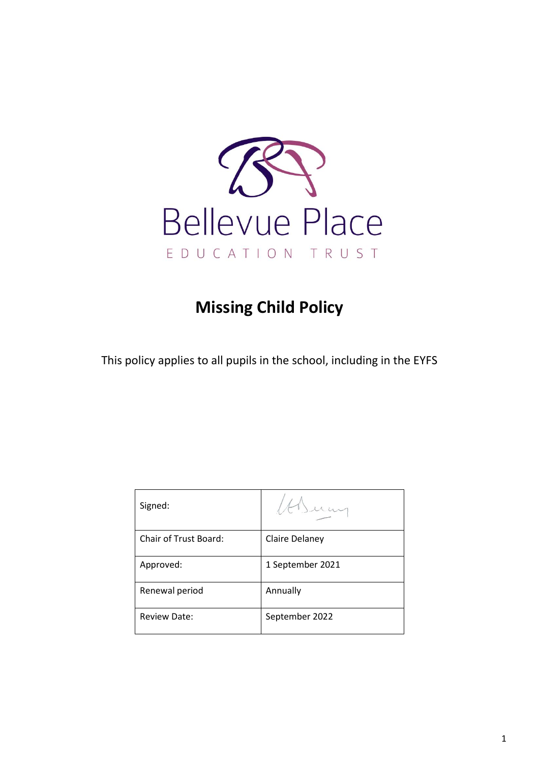

# **Missing Child Policy**

This policy applies to all pupils in the school, including in the EYFS

| Signed:               |                  |
|-----------------------|------------------|
| Chair of Trust Board: | Claire Delaney   |
| Approved:             | 1 September 2021 |
| Renewal period        | Annually         |
| <b>Review Date:</b>   | September 2022   |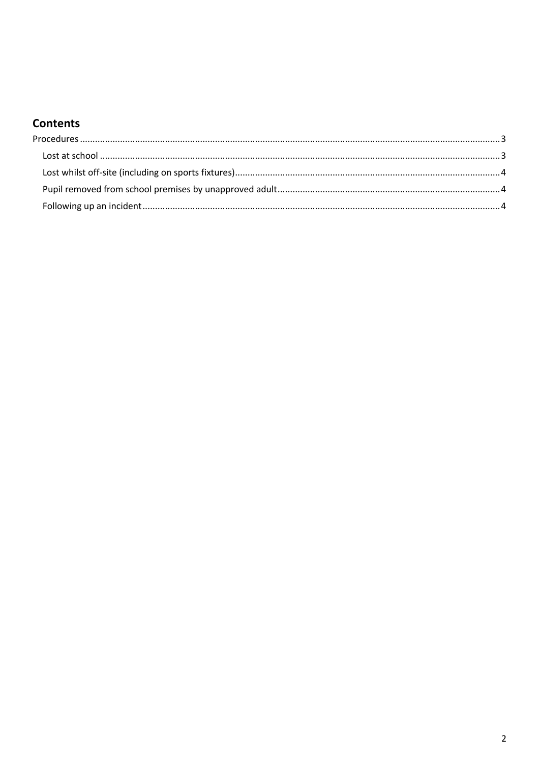# **Contents**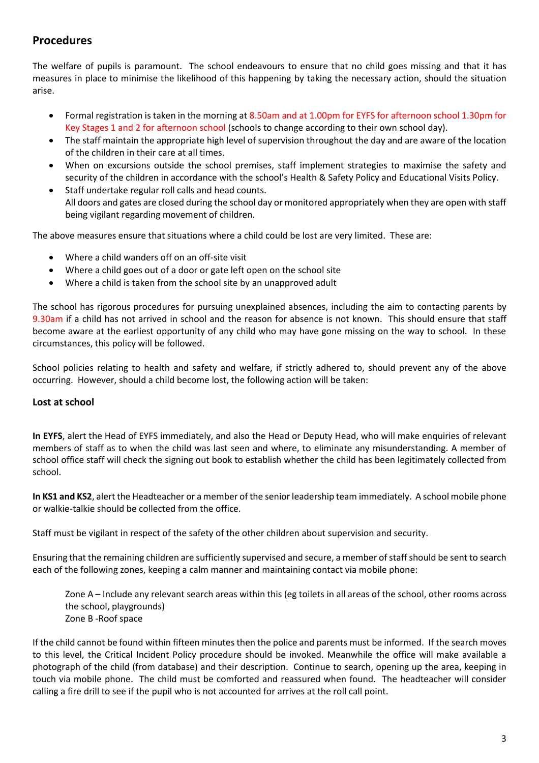# <span id="page-2-0"></span>**Procedures**

The welfare of pupils is paramount. The school endeavours to ensure that no child goes missing and that it has measures in place to minimise the likelihood of this happening by taking the necessary action, should the situation arise.

- Formal registration is taken in the morning at 8.50am and at 1.00pm for EYFS for afternoon school 1.30pm for Key Stages 1 and 2 for afternoon school (schools to change according to their own school day).
- The staff maintain the appropriate high level of supervision throughout the day and are aware of the location of the children in their care at all times.
- When on excursions outside the school premises, staff implement strategies to maximise the safety and security of the children in accordance with the school's Health & Safety Policy and Educational Visits Policy.
- Staff undertake regular roll calls and head counts. All doors and gates are closed during the school day or monitored appropriately when they are open with staff being vigilant regarding movement of children.

The above measures ensure that situations where a child could be lost are very limited. These are:

- Where a child wanders off on an off-site visit
- Where a child goes out of a door or gate left open on the school site
- Where a child is taken from the school site by an unapproved adult

The school has rigorous procedures for pursuing unexplained absences, including the aim to contacting parents by 9.30am if a child has not arrived in school and the reason for absence is not known. This should ensure that staff become aware at the earliest opportunity of any child who may have gone missing on the way to school. In these circumstances, this policy will be followed.

School policies relating to health and safety and welfare, if strictly adhered to, should prevent any of the above occurring. However, should a child become lost, the following action will be taken:

#### <span id="page-2-1"></span>**Lost at school**

**In EYFS**, alert the Head of EYFS immediately, and also the Head or Deputy Head, who will make enquiries of relevant members of staff as to when the child was last seen and where, to eliminate any misunderstanding. A member of school office staff will check the signing out book to establish whether the child has been legitimately collected from school.

**In KS1 and KS2**, alert the Headteacher or a member of the senior leadership team immediately. A school mobile phone or walkie-talkie should be collected from the office.

Staff must be vigilant in respect of the safety of the other children about supervision and security.

Ensuring that the remaining children are sufficiently supervised and secure, a member of staff should be sent to search each of the following zones, keeping a calm manner and maintaining contact via mobile phone:

Zone A – Include any relevant search areas within this (eg toilets in all areas of the school, other rooms across the school, playgrounds) Zone B -Roof space

If the child cannot be found within fifteen minutes then the police and parents must be informed. If the search moves to this level, the Critical Incident Policy procedure should be invoked. Meanwhile the office will make available a photograph of the child (from database) and their description. Continue to search, opening up the area, keeping in touch via mobile phone. The child must be comforted and reassured when found. The headteacher will consider calling a fire drill to see if the pupil who is not accounted for arrives at the roll call point.